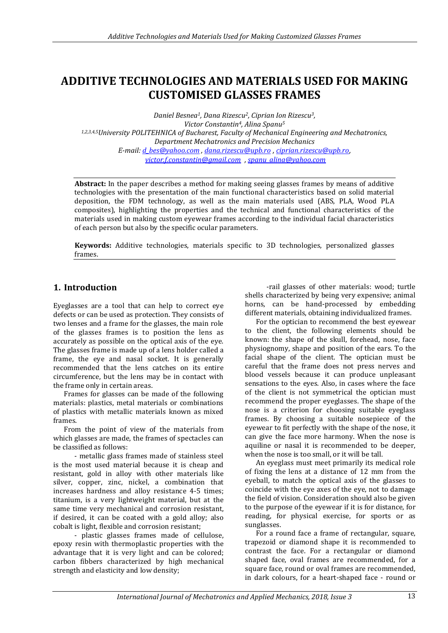# **ADDITIVE TECHNOLOGIES AND MATERIALS USED FOR MAKING CUSTOMISED GLASSES FRAMES**

*Daniel Besnea1, Dana Rizescu2, Ciprian Ion Rizescu3, Victor Constantin4, Alina Spanu<sup>5</sup> 1,2,3,4,5University POLITEHNICA of Bucharest, Faculty of Mechanical Engineering and Mechatronics, Department Mechatronics and Precision Mechanics E-mail[: d\\_bes@yahoo.com](mailto:d_bes@yahoo.com) , [dana.rizescu@upb.ro](mailto:dana.rizescu@upb.ro)* , *[ciprian.rizescu@upb.ro](mailto:ciprian.rizescu@upb.ro)*, *[victor.f.constantin@gmail.com](mailto:victor.f.constantin@gmail.com)* , *[spanu\\_alina@yahoo.com](mailto:spanu_alina@yahoo.com)*

**Abstract:** In the paper describes a method for making seeing glasses frames by means of additive technologies with the presentation of the main functional characteristics based on solid material deposition, the FDM technology, as well as the main materials used (ABS, PLA, Wood PLA composites), highlighting the properties and the technical and functional characteristics of the materials used in making custom eyewear frames according to the individual facial characteristics of each person but also by the specific ocular parameters.

**Keywords:** Additive technologies, materials specific to 3D technologies, personalized glasses frames.

#### **1. Introduction**

Eyeglasses are a tool that can help to correct eye defects or can be used as protection. They consists of two lenses and a frame for the glasses, the main role of the glasses frames is to position the lens as accurately as possible on the optical axis of the eye. The glasses frame is made up of a lens holder called a frame, the eye and nasal socket. It is generally recommended that the lens catches on its entire circumference, but the lens may be in contact with the frame only in certain areas.

Frames for glasses can be made of the following materials: plastics, metal materials or combinations of plastics with metallic materials known as mixed frames.

From the point of view of the materials from which glasses are made, the frames of spectacles can be classified as follows:

- metallic glass frames made of stainless steel is the most used material because it is cheap and resistant, gold in alloy with other materials like silver, copper, zinc, nickel, a combination that increases hardness and alloy resistance 4-5 times; titanium, is a very lightweight material, but at the same time very mechanical and corrosion resistant, if desired, it can be coated with a gold alloy; also cobalt is light, flexible and corrosion resistant;

- plastic glasses frames made of cellulose, epoxy resin with thermoplastic properties with the advantage that it is very light and can be colored; carbon fibbers characterized by high mechanical strength and elasticity and low density;

-rail glasses of other materials: wood; turtle shells characterized by being very expensive; animal horns, can be hand-processed by embedding different materials, obtaining individualized frames.

For the optician to recommend the best eyewear to the client, the following elements should be known: the shape of the skull, forehead, nose, face physiognomy, shape and position of the ears. To the facial shape of the client. The optician must be careful that the frame does not press nerves and blood vessels because it can produce unpleasant sensations to the eyes. Also, in cases where the face of the client is not symmetrical the optician must recommend the proper eyeglasses. The shape of the nose is a criterion for choosing suitable eyeglass frames. By choosing a suitable nosepiece of the eyewear to fit perfectly with the shape of the nose, it can give the face more harmony. When the nose is aquiline or nasal it is recommended to be deeper, when the nose is too small, or it will be tall.

An eyeglass must meet primarily its medical role of fixing the lens at a distance of 12 mm from the eyeball, to match the optical axis of the glasses to coincide with the eye axes of the eye, not to damage the field of vision. Consideration should also be given to the purpose of the eyewear if it is for distance, for reading, for physical exercise, for sports or as sunglasses.

For a round face a frame of rectangular, square, trapezoid or diamond shape it is recommended to contrast the face. For a rectangular or diamond shaped face, oval frames are recommended, for a square face, round or oval frames are recommended, in dark colours, for a heart-shaped face - round or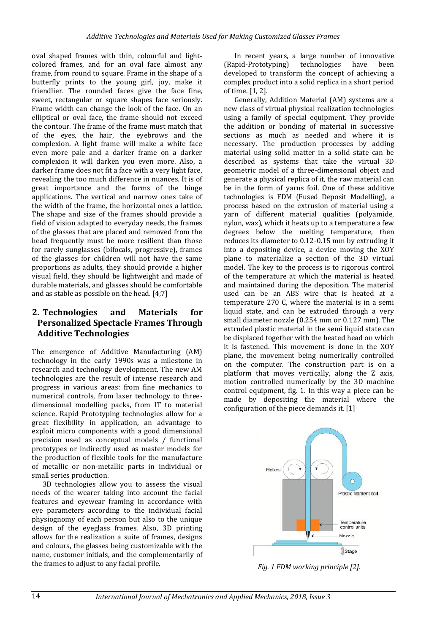oval shaped frames with thin, colourful and lightcolored frames, and for an oval face almost any frame, from round to square. Frame in the shape of a butterfly prints to the young girl, joy, make it friendlier. The rounded faces give the face fine, sweet, rectangular or square shapes face seriously. Frame width can change the look of the face. On an elliptical or oval face, the frame should not exceed the contour. The frame of the frame must match that of the eyes, the hair, the eyebrows and the complexion. A light frame will make a white face even more pale and a darker frame on a darker complexion it will darken you even more. Also, a darker frame does not fit a face with a very light face, revealing the too much difference in nuances. It is of great importance and the forms of the hinge applications. The vertical and narrow ones take of the width of the frame, the horizontal ones a lattice. The shape and size of the frames should provide a field of vision adapted to everyday needs, the frames of the glasses that are placed and removed from the head frequently must be more resilient than those for rarely sunglasses (bifocals, progressive), frames of the glasses for children will not have the same proportions as adults, they should provide a higher visual field, they should be lightweight and made of durable materials, and glasses should be comfortable and as stable as possible on the head. [4;7]

## **2. Technologies and Materials for Personalized Spectacle Frames Through Additive Technologies**

The emergence of Additive Manufacturing (AM) technology in the early 1990s was a milestone in research and technology development. The new AM technologies are the result of intense research and progress in various areas: from fine mechanics to numerical controls, from laser technology to threedimensional modelling packs, from IT to material science. Rapid Prototyping technologies allow for a great flexibility in application, an advantage to exploit micro components with a good dimensional precision used as conceptual models / functional prototypes or indirectly used as master models for the production of flexible tools for the manufacture of metallic or non-metallic parts in individual or small series production.

3D technologies allow you to assess the visual needs of the wearer taking into account the facial features and eyewear framing in accordance with eye parameters according to the individual facial physiognomy of each person but also to the unique design of the eyeglass frames. Also, 3D printing allows for the realization a suite of frames, designs and colours, the glasses being customizable with the name, customer initials, and the complementarily of the frames to adjust to any facial profile.

In recent years, a large number of innovative<br>apid-Prototyping) technologies have been (Rapid-Prototyping) technologies have been developed to transform the concept of achieving a complex product into a solid replica in a short period of time. [1, 2].

Generally, Addition Material (AM) systems are a new class of virtual physical realization technologies using a family of special equipment. They provide the addition or bonding of material in successive sections as much as needed and where it is necessary. The production processes by adding material using solid matter in a solid state can be described as systems that take the virtual 3D geometric model of a three-dimensional object and generate a physical replica of it, the raw material can be in the form of yarns foil. One of these additive technologies is FDM (Fused Deposit Modelling), a process based on the extrusion of material using a yarn of different material qualities (polyamide, nylon, wax), which it heats up to a temperature a few degrees below the melting temperature, then reduces its diameter to 0.12-0.15 mm by extruding it into a depositing device, a device moving the XOY plane to materialize a section of the 3D virtual model. The key to the process is to rigorous control of the temperature at which the material is heated and maintained during the deposition. The material used can be an ABS wire that is heated at a temperature 270 C, where the material is in a semi liquid state, and can be extruded through a very small diameter nozzle (0.254 mm or 0.127 mm). The extruded plastic material in the semi liquid state can be displaced together with the heated head on which it is fastened. This movement is done in the XOY plane, the movement being numerically controlled on the computer. The construction part is on a platform that moves vertically, along the Z axis, motion controlled numerically by the 3D machine control equipment, fig. 1. In this way a piece can be made by depositing the material where the configuration of the piece demands it. [1]



*Fig. 1 FDM working principle [2].*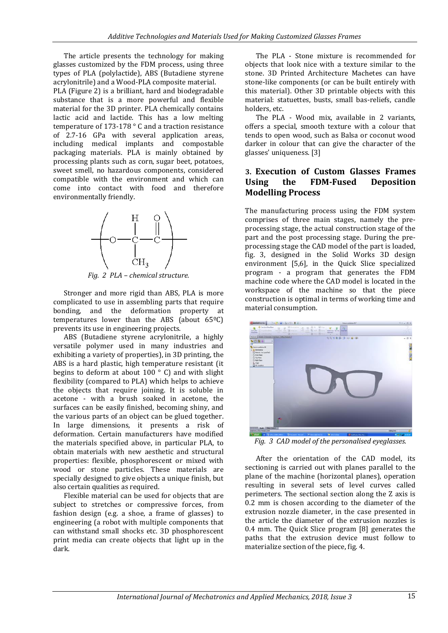The article presents the technology for making glasses customized by the FDM process, using three types of PLA (polylactide), ABS (Butadiene styrene acrylonitrile) and a Wood-PLA composite material. PLA (Figure 2) is a brilliant, hard and biodegradable substance that is a more powerful and flexible material for the 3D printer. PLA chemically contains lactic acid and lactide. This has a low melting temperature of 173-178 ° C and a traction resistance of 2.7-16 GPa with several application areas, including medical implants and compostable packaging materials. PLA is mainly obtained by processing plants such as corn, sugar beet, potatoes, sweet smell, no hazardous components, considered compatible with the environment and which can come into contact with food and therefore environmentally friendly.



*Fig. 2 PLA – chemical structure.*

Stronger and more rigid than ABS, PLA is more complicated to use in assembling parts that require bonding, and the deformation property at temperatures lower than the ABS (about 65ºC) prevents its use in engineering projects.

ABS (Butadiene styrene acrylonitrile, a highly versatile polymer used in many industries and exhibiting a variety of properties), in 3D printing, the ABS is a hard plastic, high temperature resistant (it begins to deform at about 100 ° C) and with slight flexibility (compared to PLA) which helps to achieve the objects that require joining. It is soluble in acetone - with a brush soaked in acetone, the surfaces can be easily finished, becoming shiny, and the various parts of an object can be glued together. In large dimensions, it presents a risk of deformation. Certain manufacturers have modified the materials specified above, in particular PLA, to obtain materials with new aesthetic and structural properties: flexible, phosphorescent or mixed with wood or stone particles. These materials are specially designed to give objects a unique finish, but also certain qualities as required.

Flexible material can be used for objects that are subject to stretches or compressive forces, from fashion design (e.g. a shoe, a frame of glasses) to engineering (a robot with multiple components that can withstand small shocks etc. 3D phosphorescent print media can create objects that light up in the dark.

The PLA - Stone mixture is recommended for objects that look nice with a texture similar to the stone. 3D Printed Architecture Machetes can have stone-like components (or can be built entirely with this material). Other 3D printable objects with this material: statuettes, busts, small bas-reliefs, candle holders, etc.

The PLA - Wood mix, available in 2 variants, offers a special, smooth texture with a colour that tends to open wood, such as Balsa or coconut wood darker in colour that can give the character of the glasses' uniqueness. [3]

#### **3. Execution of Custom Glasses Frames Using the FDM-Fused Deposition Modelling Process**

The manufacturing process using the FDM system comprises of three main stages, namely the preprocessing stage, the actual construction stage of the part and the post processing stage. During the preprocessing stage the CAD model of the part is loaded, fig. 3, designed in the Solid Works 3D design environment [5,6], in the Quick Slice specialized program - a program that generates the FDM machine code where the CAD model is located in the workspace of the machine so that the piece construction is optimal in terms of working time and material consumption.



*Fig. 3 CAD model of the personalised eyeglasses.*

After the orientation of the CAD model, its sectioning is carried out with planes parallel to the plane of the machine (horizontal planes), operation resulting in several sets of level curves called perimeters. The sectional section along the Z axis is 0.2 mm is chosen according to the diameter of the extrusion nozzle diameter, in the case presented in the article the diameter of the extrusion nozzles is 0.4 mm. The Quick Slice program [8] generates the paths that the extrusion device must follow to materialize section of the piece, fig. 4.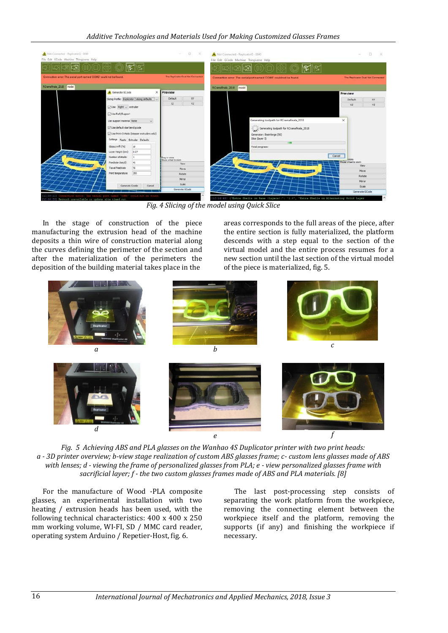

*Fig. 4 Slicing of the model using Quick Slice*

In the stage of construction of the piece manufacturing the extrusion head of the machine deposits a thin wire of construction material along the curves defining the perimeter of the section and after the materialization of the perimeters the deposition of the building material takes place in the

areas corresponds to the full areas of the piece, after the entire section is fully materialized, the platform descends with a step equal to the section of the virtual model and the entire process resumes for a new section until the last section of the virtual model of the piece is materialized, fig. 5.



*Fig. 5 Achieving ABS and PLA glasses on the Wanhao 4S Duplicator printer with two print heads: a - 3D printer overview; b-view stage realization of custom ABS glasses frame; c- custom lens glasses made of ABS with lenses; d - viewing the frame of personalized glasses from PLA; e - view personalized glasses frame with sacrificial layer; f - the two custom glasses frames made of ABS and PLA materials. [8]*

For the manufacture of Wood -PLA composite glasses, an experimental installation with two heating / extrusion heads has been used, with the following technical characteristics: 400 x 400 x 250 mm working volume, WI-FI, SD / MMC card reader, operating system Arduino / Repetier-Host, fig. 6.

The last post-processing step consists of separating the work platform from the workpiece, removing the connecting element between the workpiece itself and the platform, removing the supports (if any) and finishing the workpiece if necessary.